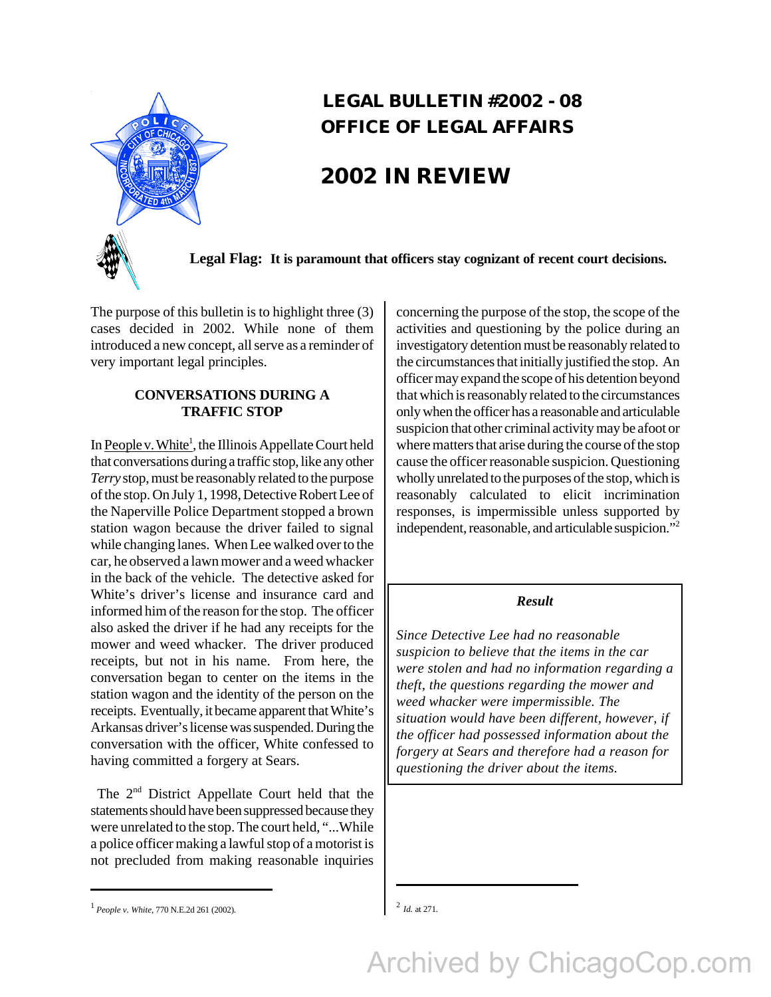

## **LEGAL BULLETIN #2002 - 08 OFFICE OF LEGAL AFFAIRS**

# **2002 IN REVIEW**

**Legal Flag: It is paramount that officers stay cognizant of recent court decisions.**

The purpose of this bulletin is to highlight three (3) cases decided in 2002. While none of them introduced a new concept, all serve as a reminder of very important legal principles.

## **CONVERSATIONS DURING A TRAFFIC STOP**

In People v. White<sup>1</sup>, the Illinois Appellate Court held that conversations during a traffic stop, like any other *Terry* stop, must be reasonably related to the purpose of the stop. On July 1, 1998, Detective Robert Lee of the Naperville Police Department stopped a brown station wagon because the driver failed to signal while changing lanes. When Lee walked over to the car, he observed a lawn mower and a weed whacker in the back of the vehicle. The detective asked for White's driver's license and insurance card and informed him of the reason for the stop. The officer also asked the driver if he had any receipts for the mower and weed whacker. The driver produced receipts, but not in his name. From here, the conversation began to center on the items in the station wagon and the identity of the person on the receipts. Eventually, it became apparent that White's Arkansas driver's license was suspended. During the conversation with the officer, White confessed to having committed a forgery at Sears.

The 2<sup>nd</sup> District Appellate Court held that the statements should have been suppressed because they were unrelated to the stop. The court held, "...While a police officer making a lawful stop of a motorist is not precluded from making reasonable inquiries

concerning the purpose of the stop, the scope of the activities and questioning by the police during an investigatory detention must be reasonably related to the circumstances that initially justified the stop. An officer may expand the scope of his detention beyond that which is reasonably related to the circumstances only when the officer has a reasonable and articulable suspicion that other criminal activity may be afoot or where matters that arise during the course of the stop cause the officer reasonable suspicion. Questioning wholly unrelated to the purposes of the stop, which is reasonably calculated to elicit incrimination responses, is impermissible unless supported by independent, reasonable, and articulable suspicion."<sup>2</sup>

## *Result*

*Since Detective Lee had no reasonable suspicion to believe that the items in the car were stolen and had no information regarding a theft, the questions regarding the mower and weed whacker were impermissible. The situation would have been different, however, if the officer had possessed information about the forgery at Sears and therefore had a reason for questioning the driver about the items.*

*Id.* at 271.

Archived by ChicagoCop.com

<sup>&</sup>lt;sup>1</sup> People v. White, 770 N.E.2d 261 (2002).